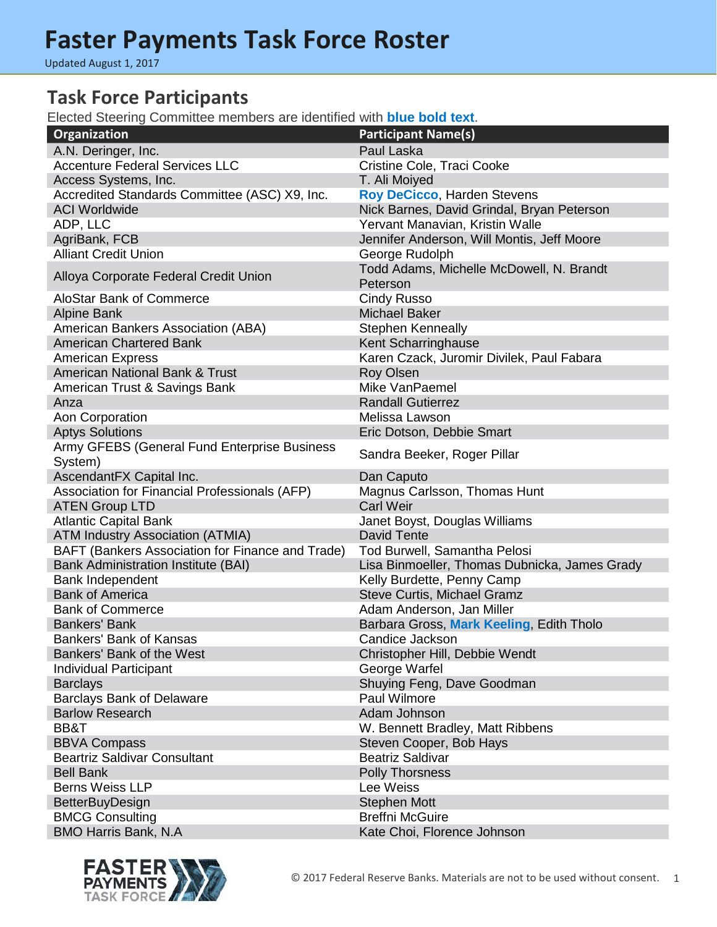Updated August 1, 2017

#### **Task Force Participants**

Elected Steering Committee members are identified with **blue bold text**.

| Organization                                     | <b>Participant Name(s)</b>                           |
|--------------------------------------------------|------------------------------------------------------|
| A.N. Deringer, Inc.                              | Paul Laska                                           |
| <b>Accenture Federal Services LLC</b>            | Cristine Cole, Traci Cooke                           |
| Access Systems, Inc.                             | T. Ali Moiyed                                        |
| Accredited Standards Committee (ASC) X9, Inc.    | <b>Roy DeCicco, Harden Stevens</b>                   |
| <b>ACI Worldwide</b>                             | Nick Barnes, David Grindal, Bryan Peterson           |
| ADP, LLC                                         | Yervant Manavian, Kristin Walle                      |
| AgriBank, FCB                                    | Jennifer Anderson, Will Montis, Jeff Moore           |
| <b>Alliant Credit Union</b>                      | George Rudolph                                       |
| Alloya Corporate Federal Credit Union            | Todd Adams, Michelle McDowell, N. Brandt<br>Peterson |
| <b>AloStar Bank of Commerce</b>                  | <b>Cindy Russo</b>                                   |
| <b>Alpine Bank</b>                               | <b>Michael Baker</b>                                 |
| American Bankers Association (ABA)               | <b>Stephen Kenneally</b>                             |
| <b>American Chartered Bank</b>                   | Kent Scharringhause                                  |
| <b>American Express</b>                          | Karen Czack, Juromir Divilek, Paul Fabara            |
| <b>American National Bank &amp; Trust</b>        | <b>Roy Olsen</b>                                     |
| American Trust & Savings Bank                    | Mike VanPaemel                                       |
| Anza                                             | <b>Randall Gutierrez</b>                             |
| Aon Corporation                                  | Melissa Lawson                                       |
| <b>Aptys Solutions</b>                           | Eric Dotson, Debbie Smart                            |
| Army GFEBS (General Fund Enterprise Business     |                                                      |
| System)                                          | Sandra Beeker, Roger Pillar                          |
| AscendantFX Capital Inc.                         | Dan Caputo                                           |
| Association for Financial Professionals (AFP)    | Magnus Carlsson, Thomas Hunt                         |
| <b>ATEN Group LTD</b>                            | <b>Carl Weir</b>                                     |
| <b>Atlantic Capital Bank</b>                     | Janet Boyst, Douglas Williams                        |
| <b>ATM Industry Association (ATMIA)</b>          | <b>David Tente</b>                                   |
| BAFT (Bankers Association for Finance and Trade) | Tod Burwell, Samantha Pelosi                         |
| <b>Bank Administration Institute (BAI)</b>       | Lisa Binmoeller, Thomas Dubnicka, James Grady        |
| Bank Independent                                 | Kelly Burdette, Penny Camp                           |
| <b>Bank of America</b>                           | Steve Curtis, Michael Gramz                          |
| <b>Bank of Commerce</b>                          | Adam Anderson, Jan Miller                            |
| <b>Bankers' Bank</b>                             | Barbara Gross, Mark Keeling, Edith Tholo             |
| <b>Bankers' Bank of Kansas</b>                   | Candice Jackson                                      |
| Bankers' Bank of the West                        | Christopher Hill, Debbie Wendt                       |
| <b>Individual Participant</b>                    | George Warfel                                        |
| <b>Barclays</b>                                  | Shuying Feng, Dave Goodman                           |
| <b>Barclays Bank of Delaware</b>                 | Paul Wilmore                                         |
| <b>Barlow Research</b>                           | Adam Johnson                                         |
| BB&T                                             | W. Bennett Bradley, Matt Ribbens                     |
| <b>BBVA Compass</b>                              | Steven Cooper, Bob Hays                              |
| <b>Beartriz Saldivar Consultant</b>              | <b>Beatriz Saldivar</b>                              |
| <b>Bell Bank</b>                                 | <b>Polly Thorsness</b>                               |
| <b>Berns Weiss LLP</b>                           | Lee Weiss                                            |
| <b>BetterBuyDesign</b>                           | <b>Stephen Mott</b>                                  |
| <b>BMCG Consulting</b>                           | <b>Breffni McGuire</b>                               |
| <b>BMO Harris Bank, N.A</b>                      | Kate Choi, Florence Johnson                          |
|                                                  |                                                      |

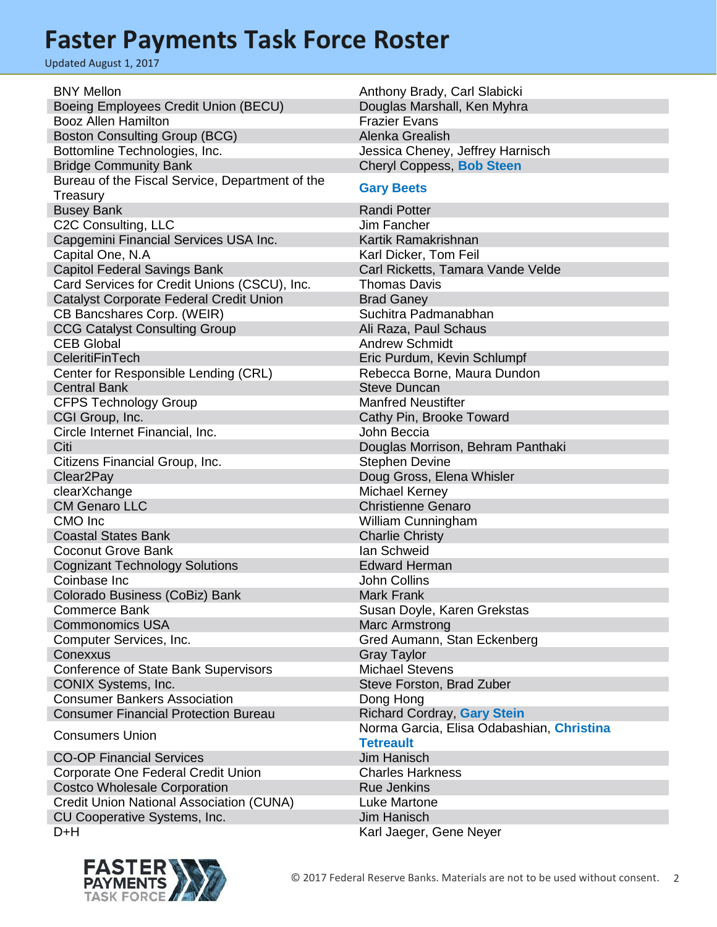Updated August 1, 2017

| <b>BNY Mellon</b>                               | Anthony Brady, Carl Slabicki              |
|-------------------------------------------------|-------------------------------------------|
| Boeing Employees Credit Union (BECU)            | Douglas Marshall, Ken Myhra               |
| <b>Booz Allen Hamilton</b>                      | <b>Frazier Evans</b>                      |
| <b>Boston Consulting Group (BCG)</b>            | Alenka Grealish                           |
| Bottomline Technologies, Inc.                   | Jessica Cheney, Jeffrey Harnisch          |
| <b>Bridge Community Bank</b>                    | Cheryl Coppess, Bob Steen                 |
| Bureau of the Fiscal Service, Department of the |                                           |
| Treasury                                        | <b>Gary Beets</b>                         |
| <b>Busey Bank</b>                               | <b>Randi Potter</b>                       |
| C2C Consulting, LLC                             | Jim Fancher                               |
| Capgemini Financial Services USA Inc.           | Kartik Ramakrishnan                       |
| Capital One, N.A.                               | Karl Dicker, Tom Feil                     |
| <b>Capitol Federal Savings Bank</b>             | Carl Ricketts, Tamara Vande Velde         |
| Card Services for Credit Unions (CSCU), Inc.    | <b>Thomas Davis</b>                       |
| Catalyst Corporate Federal Credit Union         | <b>Brad Ganey</b>                         |
| CB Bancshares Corp. (WEIR)                      | Suchitra Padmanabhan                      |
| <b>CCG Catalyst Consulting Group</b>            | Ali Raza, Paul Schaus                     |
| <b>CEB Global</b>                               | <b>Andrew Schmidt</b>                     |
| CeleritiFinTech                                 | Eric Purdum, Kevin Schlumpf               |
| Center for Responsible Lending (CRL)            | Rebecca Borne, Maura Dundon               |
| <b>Central Bank</b>                             | <b>Steve Duncan</b>                       |
| <b>CFPS Technology Group</b>                    | <b>Manfred Neustifter</b>                 |
| CGI Group, Inc.                                 | Cathy Pin, Brooke Toward                  |
| Circle Internet Financial, Inc.                 | John Beccia                               |
| Citi                                            | Douglas Morrison, Behram Panthaki         |
| Citizens Financial Group, Inc.                  | <b>Stephen Devine</b>                     |
| Clear <sub>2Pay</sub>                           | Doug Gross, Elena Whisler                 |
| clearXchange                                    | Michael Kerney                            |
| <b>CM Genaro LLC</b>                            | <b>Christienne Genaro</b>                 |
| CMO Inc                                         | William Cunningham                        |
| <b>Coastal States Bank</b>                      | <b>Charlie Christy</b>                    |
| <b>Coconut Grove Bank</b>                       | Ian Schweid                               |
| <b>Cognizant Technology Solutions</b>           | <b>Edward Herman</b>                      |
| Coinbase Inc                                    | <b>John Collins</b>                       |
| Colorado Business (CoBiz) Bank                  | <b>Mark Frank</b>                         |
| <b>Commerce Bank</b>                            | Susan Doyle, Karen Grekstas               |
| <b>Commonomics USA</b>                          | <b>Marc Armstrong</b>                     |
| Computer Services, Inc.                         | Gred Aumann, Stan Eckenberg               |
| Conexxus                                        | <b>Gray Taylor</b>                        |
| <b>Conference of State Bank Supervisors</b>     | <b>Michael Stevens</b>                    |
| CONIX Systems, Inc.                             | Steve Forston, Brad Zuber                 |
| <b>Consumer Bankers Association</b>             | Dong Hong                                 |
| <b>Consumer Financial Protection Bureau</b>     | <b>Richard Cordray, Gary Stein</b>        |
|                                                 | Norma Garcia, Elisa Odabashian, Christina |
| <b>Consumers Union</b>                          | <b>Tetreault</b>                          |
| <b>CO-OP Financial Services</b>                 | <b>Jim Hanisch</b>                        |
| Corporate One Federal Credit Union              | <b>Charles Harkness</b>                   |
| <b>Costco Wholesale Corporation</b>             | <b>Rue Jenkins</b>                        |
| <b>Credit Union National Association (CUNA)</b> | <b>Luke Martone</b>                       |
| CU Cooperative Systems, Inc.                    | <b>Jim Hanisch</b>                        |
| D+H                                             | Karl Jaeger, Gene Neyer                   |
|                                                 |                                           |



a a

a a

a a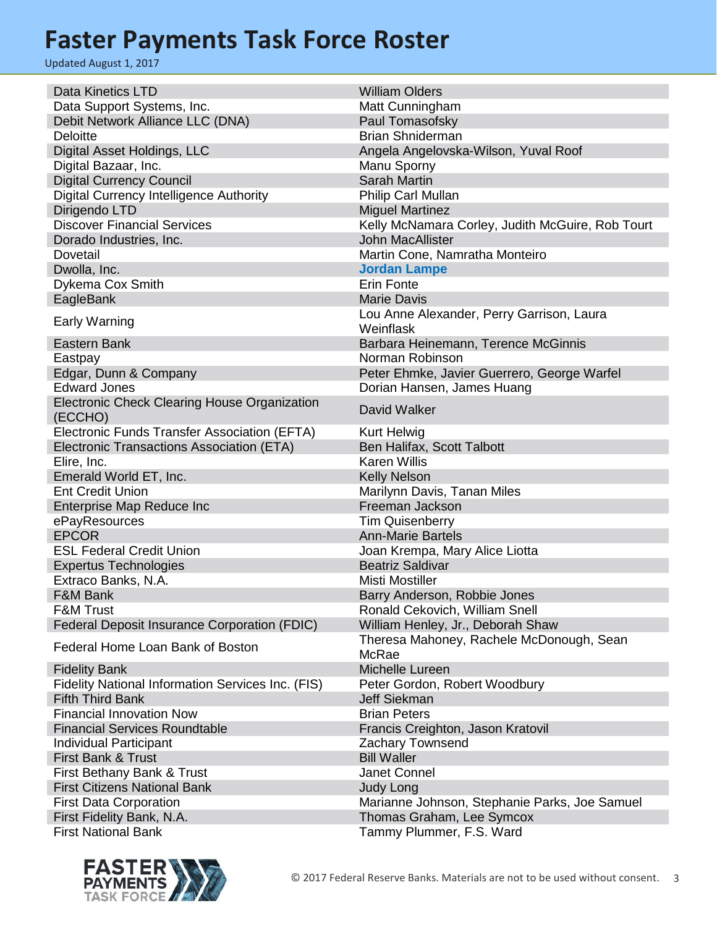| <b>Data Kinetics LTD</b>                          | <b>William Olders</b>                              |
|---------------------------------------------------|----------------------------------------------------|
| Data Support Systems, Inc.                        | Matt Cunningham                                    |
| Debit Network Alliance LLC (DNA)                  | Paul Tomasofsky                                    |
| <b>Deloitte</b>                                   | <b>Brian Shniderman</b>                            |
| Digital Asset Holdings, LLC                       | Angela Angelovska-Wilson, Yuval Roof               |
| Digital Bazaar, Inc.                              | Manu Sporny                                        |
| <b>Digital Currency Council</b>                   | <b>Sarah Martin</b>                                |
| Digital Currency Intelligence Authority           | Philip Carl Mullan                                 |
| Dirigendo LTD                                     | <b>Miguel Martinez</b>                             |
| <b>Discover Financial Services</b>                | Kelly McNamara Corley, Judith McGuire, Rob Tourt   |
| Dorado Industries, Inc.                           | <b>John MacAllister</b>                            |
| Dovetail                                          | Martin Cone, Namratha Monteiro                     |
| Dwolla, Inc.                                      | <b>Jordan Lampe</b>                                |
| Dykema Cox Smith                                  | Erin Fonte                                         |
| EagleBank                                         | <b>Marie Davis</b>                                 |
|                                                   | Lou Anne Alexander, Perry Garrison, Laura          |
| <b>Early Warning</b>                              | Weinflask                                          |
| Eastern Bank                                      | Barbara Heinemann, Terence McGinnis                |
| Eastpay                                           | Norman Robinson                                    |
| Edgar, Dunn & Company                             | Peter Ehmke, Javier Guerrero, George Warfel        |
| <b>Edward Jones</b>                               | Dorian Hansen, James Huang                         |
| Electronic Check Clearing House Organization      |                                                    |
| (ECCHO)                                           | David Walker                                       |
| Electronic Funds Transfer Association (EFTA)      | Kurt Helwig                                        |
| Electronic Transactions Association (ETA)         | Ben Halifax, Scott Talbott                         |
|                                                   | <b>Karen Willis</b>                                |
| Elire, Inc.                                       |                                                    |
| Emerald World ET, Inc.<br><b>Ent Credit Union</b> | <b>Kelly Nelson</b>                                |
|                                                   | Marilynn Davis, Tanan Miles                        |
| Enterprise Map Reduce Inc                         | Freeman Jackson                                    |
| ePayResources<br><b>EPCOR</b>                     | <b>Tim Quisenberry</b><br><b>Ann-Marie Bartels</b> |
|                                                   |                                                    |
| <b>ESL Federal Credit Union</b>                   | Joan Krempa, Mary Alice Liotta                     |
| <b>Expertus Technologies</b>                      | <b>Beatriz Saldivar</b>                            |
| Extraco Banks, N.A.                               | <b>Misti Mostiller</b>                             |
| <b>F&amp;M Bank</b>                               | Barry Anderson, Robbie Jones                       |
| <b>F&amp;M Trust</b>                              | Ronald Cekovich, William Snell                     |
| Federal Deposit Insurance Corporation (FDIC)      | William Henley, Jr., Deborah Shaw                  |
| Federal Home Loan Bank of Boston                  | Theresa Mahoney, Rachele McDonough, Sean           |
|                                                   | McRae                                              |
| <b>Fidelity Bank</b>                              | Michelle Lureen                                    |
| Fidelity National Information Services Inc. (FIS) | Peter Gordon, Robert Woodbury                      |
| <b>Fifth Third Bank</b>                           | <b>Jeff Siekman</b>                                |
| <b>Financial Innovation Now</b>                   | <b>Brian Peters</b>                                |
| <b>Financial Services Roundtable</b>              | Francis Creighton, Jason Kratovil                  |
| <b>Individual Participant</b>                     | <b>Zachary Townsend</b>                            |
| First Bank & Trust                                | <b>Bill Waller</b>                                 |
| First Bethany Bank & Trust                        | Janet Connel                                       |
| <b>First Citizens National Bank</b>               | <b>Judy Long</b>                                   |
| <b>First Data Corporation</b>                     | Marianne Johnson, Stephanie Parks, Joe Samuel      |
| First Fidelity Bank, N.A.                         | Thomas Graham, Lee Symcox                          |
| <b>First National Bank</b>                        | Tammy Plummer, F.S. Ward                           |

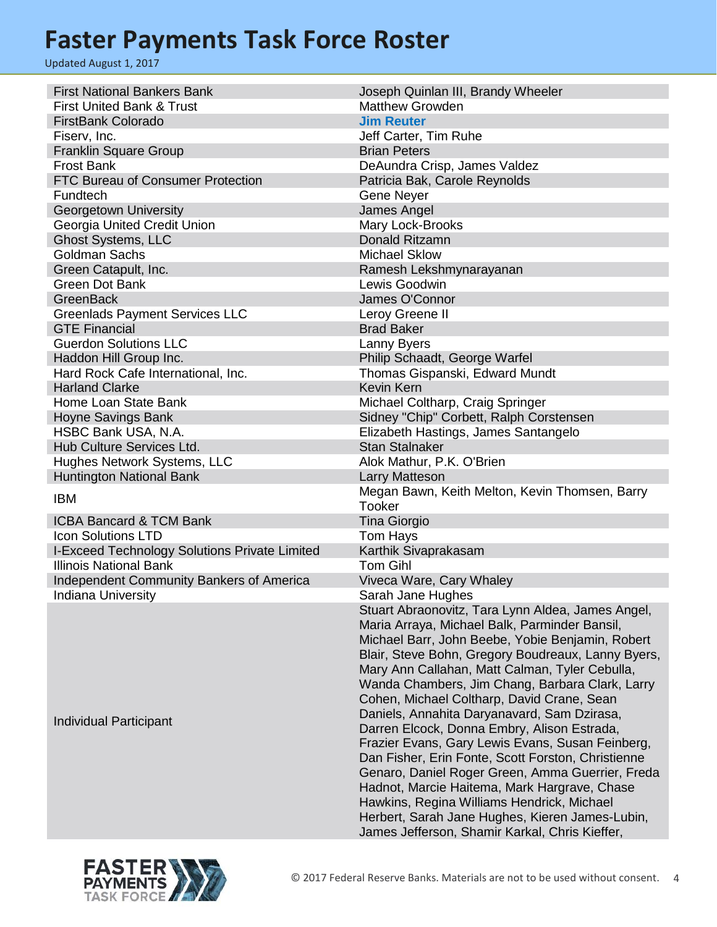| <b>First National Bankers Bank</b>            | Joseph Quinlan III, Brandy Wheeler                 |
|-----------------------------------------------|----------------------------------------------------|
| <b>First United Bank &amp; Trust</b>          | <b>Matthew Growden</b>                             |
| <b>FirstBank Colorado</b>                     | <b>Jim Reuter</b>                                  |
| Fiserv, Inc.                                  | Jeff Carter, Tim Ruhe                              |
| <b>Franklin Square Group</b>                  | <b>Brian Peters</b>                                |
| <b>Frost Bank</b>                             | DeAundra Crisp, James Valdez                       |
| FTC Bureau of Consumer Protection             | Patricia Bak, Carole Reynolds                      |
| Fundtech                                      | Gene Neyer                                         |
| Georgetown University                         | James Angel                                        |
| Georgia United Credit Union                   | Mary Lock-Brooks                                   |
| <b>Ghost Systems, LLC</b>                     | <b>Donald Ritzamn</b>                              |
| <b>Goldman Sachs</b>                          | <b>Michael Sklow</b>                               |
| Green Catapult, Inc.                          | Ramesh Lekshmynarayanan                            |
| <b>Green Dot Bank</b>                         | Lewis Goodwin                                      |
| <b>GreenBack</b>                              | James O'Connor                                     |
| <b>Greenlads Payment Services LLC</b>         | Leroy Greene II                                    |
| <b>GTE Financial</b>                          | <b>Brad Baker</b>                                  |
| <b>Guerdon Solutions LLC</b>                  |                                                    |
|                                               | Lanny Byers                                        |
| Haddon Hill Group Inc.                        | Philip Schaadt, George Warfel                      |
| Hard Rock Cafe International, Inc.            | Thomas Gispanski, Edward Mundt                     |
| <b>Harland Clarke</b>                         | <b>Kevin Kern</b>                                  |
| Home Loan State Bank                          | Michael Coltharp, Craig Springer                   |
| <b>Hoyne Savings Bank</b>                     | Sidney "Chip" Corbett, Ralph Corstensen            |
| HSBC Bank USA, N.A.                           | Elizabeth Hastings, James Santangelo               |
| Hub Culture Services Ltd.                     | <b>Stan Stalnaker</b>                              |
| Hughes Network Systems, LLC                   | Alok Mathur, P.K. O'Brien                          |
| <b>Huntington National Bank</b>               | Larry Matteson                                     |
| <b>IBM</b>                                    | Megan Bawn, Keith Melton, Kevin Thomsen, Barry     |
|                                               | <b>Tooker</b>                                      |
| <b>ICBA Bancard &amp; TCM Bank</b>            | <b>Tina Giorgio</b>                                |
| <b>Icon Solutions LTD</b>                     | Tom Hays                                           |
| I-Exceed Technology Solutions Private Limited | Karthik Sivaprakasam                               |
| <b>Illinois National Bank</b>                 | <b>Tom Gihl</b>                                    |
| Independent Community Bankers of America      | Viveca Ware, Cary Whaley                           |
| Indiana University                            | Sarah Jane Hughes                                  |
|                                               | Stuart Abraonovitz, Tara Lynn Aldea, James Angel,  |
|                                               | Maria Arraya, Michael Balk, Parminder Bansil,      |
|                                               | Michael Barr, John Beebe, Yobie Benjamin, Robert   |
|                                               | Blair, Steve Bohn, Gregory Boudreaux, Lanny Byers, |
|                                               | Mary Ann Callahan, Matt Calman, Tyler Cebulla,     |
|                                               | Wanda Chambers, Jim Chang, Barbara Clark, Larry    |
|                                               | Cohen, Michael Coltharp, David Crane, Sean         |
|                                               | Daniels, Annahita Daryanavard, Sam Dzirasa,        |
| Individual Participant                        | Darren Elcock, Donna Embry, Alison Estrada,        |
|                                               | Frazier Evans, Gary Lewis Evans, Susan Feinberg,   |
|                                               | Dan Fisher, Erin Fonte, Scott Forston, Christienne |
|                                               | Genaro, Daniel Roger Green, Amma Guerrier, Freda   |
|                                               | Hadnot, Marcie Haitema, Mark Hargrave, Chase       |
|                                               | Hawkins, Regina Williams Hendrick, Michael         |
|                                               | Herbert, Sarah Jane Hughes, Kieren James-Lubin,    |
|                                               |                                                    |

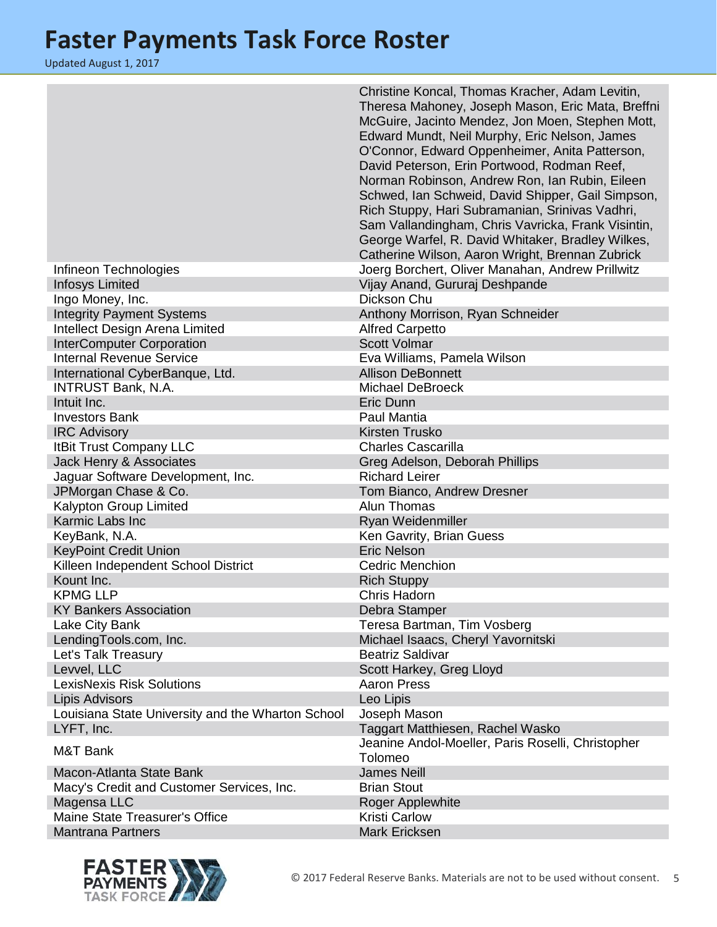|                                                   | Christine Koncal, Thomas Kracher, Adam Levitin,<br>Theresa Mahoney, Joseph Mason, Eric Mata, Breffni<br>McGuire, Jacinto Mendez, Jon Moen, Stephen Mott,<br>Edward Mundt, Neil Murphy, Eric Nelson, James<br>O'Connor, Edward Oppenheimer, Anita Patterson,<br>David Peterson, Erin Portwood, Rodman Reef,<br>Norman Robinson, Andrew Ron, Ian Rubin, Eileen<br>Schwed, Ian Schweid, David Shipper, Gail Simpson,<br>Rich Stuppy, Hari Subramanian, Srinivas Vadhri,<br>Sam Vallandingham, Chris Vavricka, Frank Visintin,<br>George Warfel, R. David Whitaker, Bradley Wilkes,<br>Catherine Wilson, Aaron Wright, Brennan Zubrick |
|---------------------------------------------------|------------------------------------------------------------------------------------------------------------------------------------------------------------------------------------------------------------------------------------------------------------------------------------------------------------------------------------------------------------------------------------------------------------------------------------------------------------------------------------------------------------------------------------------------------------------------------------------------------------------------------------|
| Infineon Technologies                             | Joerg Borchert, Oliver Manahan, Andrew Prillwitz                                                                                                                                                                                                                                                                                                                                                                                                                                                                                                                                                                                   |
| <b>Infosys Limited</b>                            | Vijay Anand, Gururaj Deshpande                                                                                                                                                                                                                                                                                                                                                                                                                                                                                                                                                                                                     |
| Ingo Money, Inc.                                  | Dickson Chu                                                                                                                                                                                                                                                                                                                                                                                                                                                                                                                                                                                                                        |
| <b>Integrity Payment Systems</b>                  | Anthony Morrison, Ryan Schneider                                                                                                                                                                                                                                                                                                                                                                                                                                                                                                                                                                                                   |
| Intellect Design Arena Limited                    | <b>Alfred Carpetto</b>                                                                                                                                                                                                                                                                                                                                                                                                                                                                                                                                                                                                             |
| <b>InterComputer Corporation</b>                  | <b>Scott Volmar</b>                                                                                                                                                                                                                                                                                                                                                                                                                                                                                                                                                                                                                |
| <b>Internal Revenue Service</b>                   | Eva Williams, Pamela Wilson                                                                                                                                                                                                                                                                                                                                                                                                                                                                                                                                                                                                        |
| International CyberBanque, Ltd.                   | <b>Allison DeBonnett</b>                                                                                                                                                                                                                                                                                                                                                                                                                                                                                                                                                                                                           |
| <b>INTRUST Bank, N.A.</b>                         | <b>Michael DeBroeck</b>                                                                                                                                                                                                                                                                                                                                                                                                                                                                                                                                                                                                            |
| Intuit Inc.                                       | Eric Dunn                                                                                                                                                                                                                                                                                                                                                                                                                                                                                                                                                                                                                          |
| <b>Investors Bank</b>                             | Paul Mantia                                                                                                                                                                                                                                                                                                                                                                                                                                                                                                                                                                                                                        |
| <b>IRC Advisory</b>                               | <b>Kirsten Trusko</b>                                                                                                                                                                                                                                                                                                                                                                                                                                                                                                                                                                                                              |
| <b>ItBit Trust Company LLC</b>                    | <b>Charles Cascarilla</b>                                                                                                                                                                                                                                                                                                                                                                                                                                                                                                                                                                                                          |
| Jack Henry & Associates                           | Greg Adelson, Deborah Phillips                                                                                                                                                                                                                                                                                                                                                                                                                                                                                                                                                                                                     |
| Jaguar Software Development, Inc.                 | <b>Richard Leirer</b>                                                                                                                                                                                                                                                                                                                                                                                                                                                                                                                                                                                                              |
| JPMorgan Chase & Co.                              | Tom Bianco, Andrew Dresner                                                                                                                                                                                                                                                                                                                                                                                                                                                                                                                                                                                                         |
| Kalypton Group Limited                            | Alun Thomas                                                                                                                                                                                                                                                                                                                                                                                                                                                                                                                                                                                                                        |
| Karmic Labs Inc                                   | Ryan Weidenmiller                                                                                                                                                                                                                                                                                                                                                                                                                                                                                                                                                                                                                  |
| KeyBank, N.A.                                     | Ken Gavrity, Brian Guess                                                                                                                                                                                                                                                                                                                                                                                                                                                                                                                                                                                                           |
| <b>KeyPoint Credit Union</b>                      | <b>Eric Nelson</b>                                                                                                                                                                                                                                                                                                                                                                                                                                                                                                                                                                                                                 |
| Killeen Independent School District               | <b>Cedric Menchion</b>                                                                                                                                                                                                                                                                                                                                                                                                                                                                                                                                                                                                             |
| Kount Inc.                                        | <b>Rich Stuppy</b>                                                                                                                                                                                                                                                                                                                                                                                                                                                                                                                                                                                                                 |
| <b>KPMG LLP</b>                                   | Chris Hadorn                                                                                                                                                                                                                                                                                                                                                                                                                                                                                                                                                                                                                       |
| <b>KY Bankers Association</b>                     | Debra Stamper                                                                                                                                                                                                                                                                                                                                                                                                                                                                                                                                                                                                                      |
| Lake City Bank                                    | Teresa Bartman, Tim Vosberg                                                                                                                                                                                                                                                                                                                                                                                                                                                                                                                                                                                                        |
| LendingTools.com, Inc.                            | Michael Isaacs, Cheryl Yavornitski                                                                                                                                                                                                                                                                                                                                                                                                                                                                                                                                                                                                 |
| Let's Talk Treasury                               | <b>Beatriz Saldivar</b>                                                                                                                                                                                                                                                                                                                                                                                                                                                                                                                                                                                                            |
| Levvel, LLC                                       | Scott Harkey, Greg Lloyd                                                                                                                                                                                                                                                                                                                                                                                                                                                                                                                                                                                                           |
| <b>LexisNexis Risk Solutions</b>                  | <b>Aaron Press</b>                                                                                                                                                                                                                                                                                                                                                                                                                                                                                                                                                                                                                 |
| <b>Lipis Advisors</b>                             | Leo Lipis                                                                                                                                                                                                                                                                                                                                                                                                                                                                                                                                                                                                                          |
| Louisiana State University and the Wharton School | Joseph Mason                                                                                                                                                                                                                                                                                                                                                                                                                                                                                                                                                                                                                       |
| LYFT, Inc.                                        | Taggart Matthiesen, Rachel Wasko                                                                                                                                                                                                                                                                                                                                                                                                                                                                                                                                                                                                   |
|                                                   | Jeanine Andol-Moeller, Paris Roselli, Christopher                                                                                                                                                                                                                                                                                                                                                                                                                                                                                                                                                                                  |
| M&T Bank                                          | Tolomeo                                                                                                                                                                                                                                                                                                                                                                                                                                                                                                                                                                                                                            |
| Macon-Atlanta State Bank                          | <b>James Neill</b>                                                                                                                                                                                                                                                                                                                                                                                                                                                                                                                                                                                                                 |
| Macy's Credit and Customer Services, Inc.         | <b>Brian Stout</b>                                                                                                                                                                                                                                                                                                                                                                                                                                                                                                                                                                                                                 |
| Magensa LLC                                       | Roger Applewhite                                                                                                                                                                                                                                                                                                                                                                                                                                                                                                                                                                                                                   |
| Maine State Treasurer's Office                    | <b>Kristi Carlow</b>                                                                                                                                                                                                                                                                                                                                                                                                                                                                                                                                                                                                               |
| <b>Mantrana Partners</b>                          | Mark Ericksen                                                                                                                                                                                                                                                                                                                                                                                                                                                                                                                                                                                                                      |

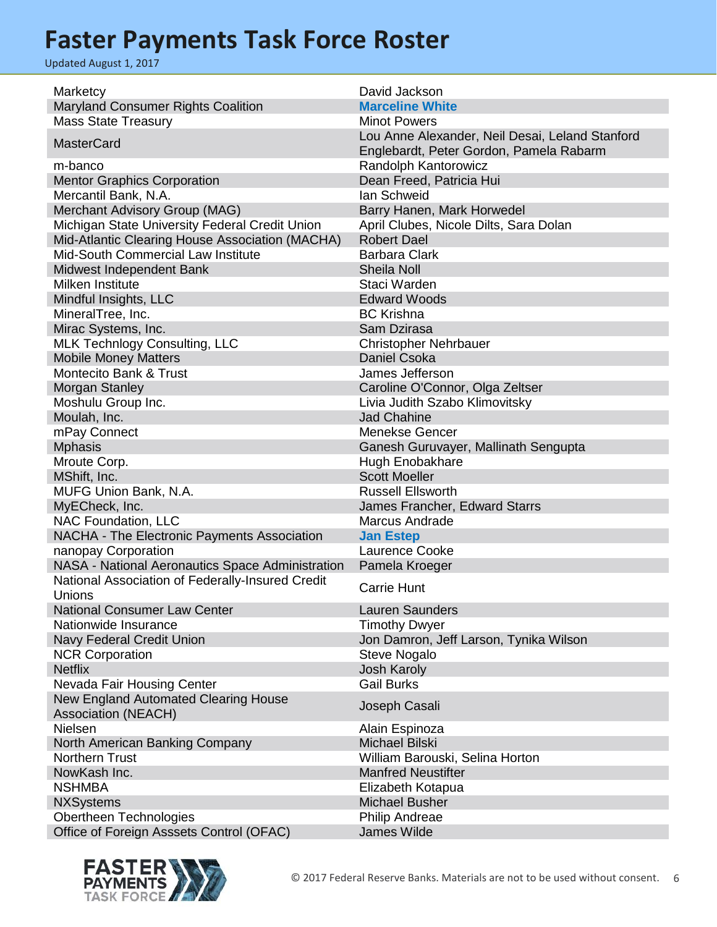| Marketcy                                         | David Jackson                                   |
|--------------------------------------------------|-------------------------------------------------|
| <b>Maryland Consumer Rights Coalition</b>        | <b>Marceline White</b>                          |
| <b>Mass State Treasury</b>                       | <b>Minot Powers</b>                             |
| <b>MasterCard</b>                                | Lou Anne Alexander, Neil Desai, Leland Stanford |
|                                                  | Englebardt, Peter Gordon, Pamela Rabarm         |
| m-banco                                          | Randolph Kantorowicz                            |
| <b>Mentor Graphics Corporation</b>               | Dean Freed, Patricia Hui                        |
| Mercantil Bank, N.A.                             | lan Schweid                                     |
| Merchant Advisory Group (MAG)                    | Barry Hanen, Mark Horwedel                      |
| Michigan State University Federal Credit Union   | April Clubes, Nicole Dilts, Sara Dolan          |
| Mid-Atlantic Clearing House Association (MACHA)  | <b>Robert Dael</b>                              |
| Mid-South Commercial Law Institute               | <b>Barbara Clark</b>                            |
| Midwest Independent Bank                         | <b>Sheila Noll</b>                              |
| Milken Institute                                 | Staci Warden                                    |
| Mindful Insights, LLC                            | <b>Edward Woods</b>                             |
| MineralTree, Inc.                                | <b>BC Krishna</b>                               |
| Mirac Systems, Inc.                              | Sam Dzirasa                                     |
| <b>MLK Technlogy Consulting, LLC</b>             | <b>Christopher Nehrbauer</b>                    |
| <b>Mobile Money Matters</b>                      | <b>Daniel Csoka</b>                             |
| <b>Montecito Bank &amp; Trust</b>                | James Jefferson                                 |
| Morgan Stanley                                   | Caroline O'Connor, Olga Zeltser                 |
| Moshulu Group Inc.                               | Livia Judith Szabo Klimovitsky                  |
| Moulah, Inc.                                     | <b>Jad Chahine</b>                              |
| mPay Connect                                     | <b>Menekse Gencer</b>                           |
| <b>Mphasis</b>                                   | Ganesh Guruvayer, Mallinath Sengupta            |
| Mroute Corp.                                     | Hugh Enobakhare                                 |
| MShift, Inc.                                     | <b>Scott Moeller</b>                            |
| MUFG Union Bank, N.A.                            | <b>Russell Ellsworth</b>                        |
| MyECheck, Inc.                                   | James Francher, Edward Starrs                   |
| NAC Foundation, LLC                              | Marcus Andrade                                  |
| NACHA - The Electronic Payments Association      | <b>Jan Estep</b>                                |
| nanopay Corporation                              | Laurence Cooke                                  |
| NASA - National Aeronautics Space Administration | Pamela Kroeger                                  |
| National Association of Federally-Insured Credit | <b>Carrie Hunt</b>                              |
| Unions                                           |                                                 |
| <b>National Consumer Law Center</b>              | <b>Lauren Saunders</b>                          |
| Nationwide Insurance                             | <b>Timothy Dwyer</b>                            |
| Navy Federal Credit Union                        | Jon Damron, Jeff Larson, Tynika Wilson          |
| <b>NCR Corporation</b>                           | <b>Steve Nogalo</b>                             |
| <b>Netflix</b>                                   | <b>Josh Karoly</b><br><b>Gail Burks</b>         |
| Nevada Fair Housing Center                       |                                                 |
| New England Automated Clearing House             | Joseph Casali                                   |
| <b>Association (NEACH)</b><br><b>Nielsen</b>     |                                                 |
| North American Banking Company                   | Alain Espinoza<br>Michael Bilski                |
| Northern Trust                                   | William Barouski, Selina Horton                 |
| NowKash Inc.                                     | <b>Manfred Neustifter</b>                       |
| <b>NSHMBA</b>                                    | Elizabeth Kotapua                               |
| <b>NXSystems</b>                                 | <b>Michael Busher</b>                           |
| Obertheen Technologies                           | Philip Andreae                                  |
| Office of Foreign Asssets Control (OFAC)         | <b>James Wilde</b>                              |
|                                                  |                                                 |

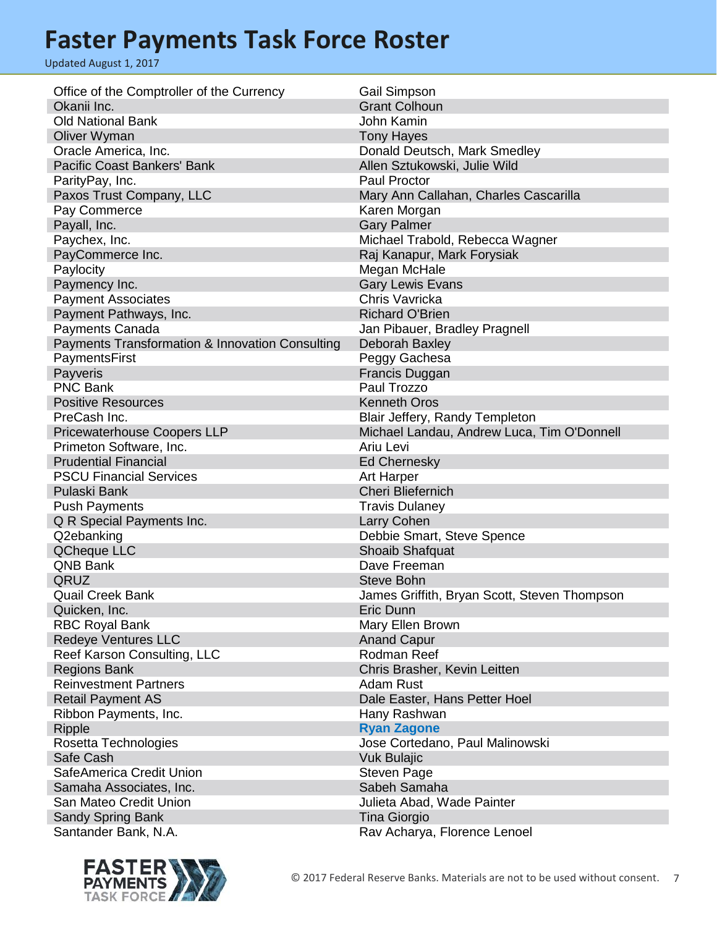| Office of the Comptroller of the Currency              | <b>Gail Simpson</b>                          |
|--------------------------------------------------------|----------------------------------------------|
| Okanii Inc.                                            | <b>Grant Colhoun</b>                         |
| <b>Old National Bank</b>                               | John Kamin                                   |
| Oliver Wyman                                           | <b>Tony Hayes</b>                            |
| Oracle America, Inc.                                   | Donald Deutsch, Mark Smedley                 |
| <b>Pacific Coast Bankers' Bank</b>                     | Allen Sztukowski, Julie Wild                 |
| ParityPay, Inc.                                        | <b>Paul Proctor</b>                          |
| Paxos Trust Company, LLC                               | Mary Ann Callahan, Charles Cascarilla        |
| Pay Commerce                                           | Karen Morgan                                 |
| Payall, Inc.                                           | <b>Gary Palmer</b>                           |
| Paychex, Inc.                                          | Michael Trabold, Rebecca Wagner              |
| PayCommerce Inc.                                       | Raj Kanapur, Mark Forysiak                   |
| Paylocity                                              | Megan McHale                                 |
| Paymency Inc.                                          | <b>Gary Lewis Evans</b>                      |
| <b>Payment Associates</b>                              | Chris Vavricka                               |
| Payment Pathways, Inc.                                 | <b>Richard O'Brien</b>                       |
| Payments Canada                                        | Jan Pibauer, Bradley Pragnell                |
| Payments Transformation & Innovation Consulting        | Deborah Baxley                               |
| PaymentsFirst                                          | Peggy Gachesa                                |
| Payveris                                               | Francis Duggan                               |
| <b>PNC Bank</b>                                        | Paul Trozzo                                  |
| <b>Positive Resources</b>                              | <b>Kenneth Oros</b>                          |
| PreCash Inc.                                           | Blair Jeffery, Randy Templeton               |
|                                                        | Michael Landau, Andrew Luca, Tim O'Donnell   |
| <b>Pricewaterhouse Coopers LLP</b>                     | Ariu Levi                                    |
| Primeton Software, Inc.<br><b>Prudential Financial</b> |                                              |
|                                                        | <b>Ed Chernesky</b>                          |
| <b>PSCU Financial Services</b>                         | <b>Art Harper</b>                            |
| Pulaski Bank                                           | Cheri Bliefernich                            |
| <b>Push Payments</b>                                   | <b>Travis Dulaney</b>                        |
| Q R Special Payments Inc.                              | Larry Cohen                                  |
| Q2ebanking                                             | Debbie Smart, Steve Spence                   |
| <b>QCheque LLC</b>                                     | Shoaib Shafquat                              |
| <b>QNB Bank</b>                                        | Dave Freeman                                 |
| QRUZ                                                   | <b>Steve Bohn</b>                            |
| <b>Quail Creek Bank</b>                                | James Griffith, Bryan Scott, Steven Thompson |
| Quicken, Inc.                                          | Eric Dunn                                    |
| <b>RBC Royal Bank</b>                                  | Mary Ellen Brown                             |
| <b>Redeye Ventures LLC</b>                             | <b>Anand Capur</b>                           |
| Reef Karson Consulting, LLC                            | Rodman Reef                                  |
| <b>Regions Bank</b>                                    | Chris Brasher, Kevin Leitten                 |
| <b>Reinvestment Partners</b>                           | Adam Rust                                    |
| <b>Retail Payment AS</b>                               | Dale Easter, Hans Petter Hoel                |
| Ribbon Payments, Inc.                                  | Hany Rashwan                                 |
| <b>Ripple</b>                                          | <b>Ryan Zagone</b>                           |
| Rosetta Technologies                                   | Jose Cortedano, Paul Malinowski              |
| Safe Cash                                              | <b>Vuk Bulajic</b>                           |
| SafeAmerica Credit Union                               | <b>Steven Page</b>                           |
| Samaha Associates, Inc.                                | Sabeh Samaha                                 |
| San Mateo Credit Union                                 | Julieta Abad, Wade Painter                   |
| <b>Sandy Spring Bank</b>                               | Tina Giorgio                                 |
| Santander Bank, N.A.                                   | Rav Acharya, Florence Lenoel                 |

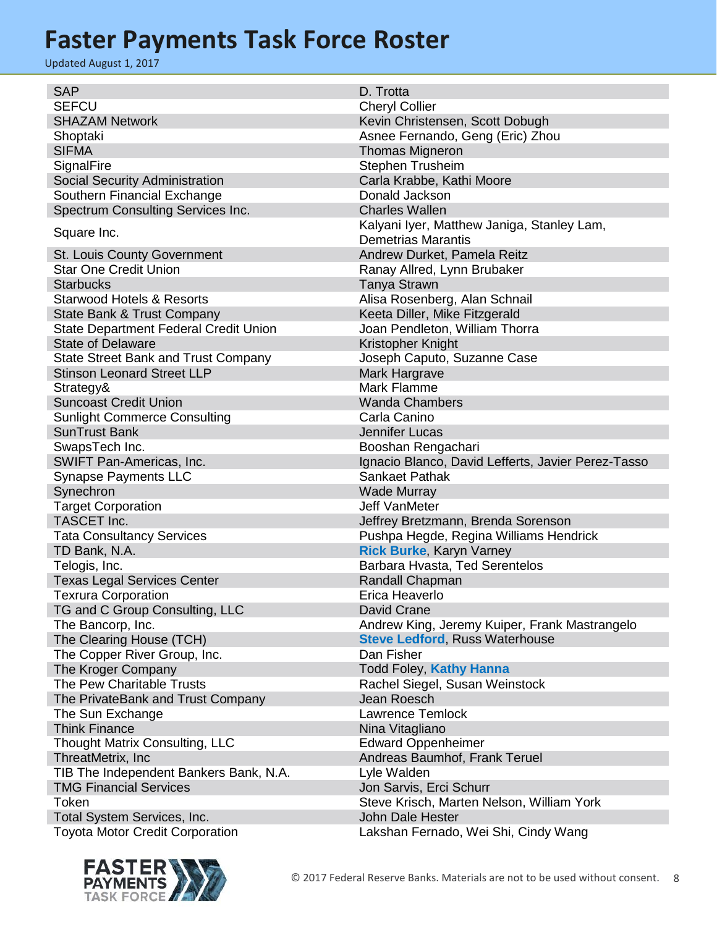| <b>SAP</b>                                   | D. Trotta                                          |
|----------------------------------------------|----------------------------------------------------|
| <b>SEFCU</b>                                 | <b>Cheryl Collier</b>                              |
| <b>SHAZAM Network</b>                        | Kevin Christensen, Scott Dobugh                    |
| Shoptaki                                     | Asnee Fernando, Geng (Eric) Zhou                   |
| <b>SIFMA</b>                                 | Thomas Migneron                                    |
| SignalFire                                   | Stephen Trusheim                                   |
| Social Security Administration               | Carla Krabbe, Kathi Moore                          |
| Southern Financial Exchange                  | Donald Jackson                                     |
| Spectrum Consulting Services Inc.            | <b>Charles Wallen</b>                              |
|                                              | Kalyani Iyer, Matthew Janiga, Stanley Lam,         |
| Square Inc.                                  | <b>Demetrias Marantis</b>                          |
| <b>St. Louis County Government</b>           | Andrew Durket, Pamela Reitz                        |
| <b>Star One Credit Union</b>                 | Ranay Allred, Lynn Brubaker                        |
| <b>Starbucks</b>                             | <b>Tanya Strawn</b>                                |
| <b>Starwood Hotels &amp; Resorts</b>         | Alisa Rosenberg, Alan Schnail                      |
| State Bank & Trust Company                   | Keeta Diller, Mike Fitzgerald                      |
| <b>State Department Federal Credit Union</b> | Joan Pendleton, William Thorra                     |
| <b>State of Delaware</b>                     | Kristopher Knight                                  |
| <b>State Street Bank and Trust Company</b>   | Joseph Caputo, Suzanne Case                        |
| <b>Stinson Leonard Street LLP</b>            | Mark Hargrave                                      |
| Strategy&                                    | Mark Flamme                                        |
| <b>Suncoast Credit Union</b>                 | <b>Wanda Chambers</b>                              |
| <b>Sunlight Commerce Consulting</b>          | Carla Canino                                       |
| <b>SunTrust Bank</b>                         | Jennifer Lucas                                     |
| SwapsTech Inc.                               | Booshan Rengachari                                 |
| SWIFT Pan-Americas, Inc.                     | Ignacio Blanco, David Lefferts, Javier Perez-Tasso |
| <b>Synapse Payments LLC</b>                  | Sankaet Pathak                                     |
| Synechron                                    | <b>Wade Murray</b>                                 |
| <b>Target Corporation</b>                    | <b>Jeff VanMeter</b>                               |
| TASCET Inc.                                  | Jeffrey Bretzmann, Brenda Sorenson                 |
| <b>Tata Consultancy Services</b>             | Pushpa Hegde, Regina Williams Hendrick             |
| TD Bank, N.A.                                | Rick Burke, Karyn Varney                           |
| Telogis, Inc.                                | Barbara Hvasta, Ted Serentelos                     |
| <b>Texas Legal Services Center</b>           | Randall Chapman                                    |
| <b>Texrura Corporation</b>                   | Erica Heaverlo                                     |
| TG and C Group Consulting, LLC               | David Crane                                        |
| The Bancorp, Inc.                            | Andrew King, Jeremy Kuiper, Frank Mastrangelo      |
| The Clearing House (TCH)                     | <b>Steve Ledford, Russ Waterhouse</b>              |
| The Copper River Group, Inc.                 | Dan Fisher                                         |
| The Kroger Company                           | <b>Todd Foley, Kathy Hanna</b>                     |
| The Pew Charitable Trusts                    | Rachel Siegel, Susan Weinstock                     |
| The PrivateBank and Trust Company            | Jean Roesch                                        |
| The Sun Exchange                             | Lawrence Temlock                                   |
| <b>Think Finance</b>                         | Nina Vitagliano                                    |
| Thought Matrix Consulting, LLC               | <b>Edward Oppenheimer</b>                          |
| ThreatMetrix, Inc                            | Andreas Baumhof, Frank Teruel                      |
| TIB The Independent Bankers Bank, N.A.       | Lyle Walden                                        |
| <b>TMG Financial Services</b>                | Jon Sarvis, Erci Schurr                            |
| Token                                        | Steve Krisch, Marten Nelson, William York          |
| Total System Services, Inc.                  | John Dale Hester                                   |
| <b>Toyota Motor Credit Corporation</b>       | Lakshan Fernado, Wei Shi, Cindy Wang               |